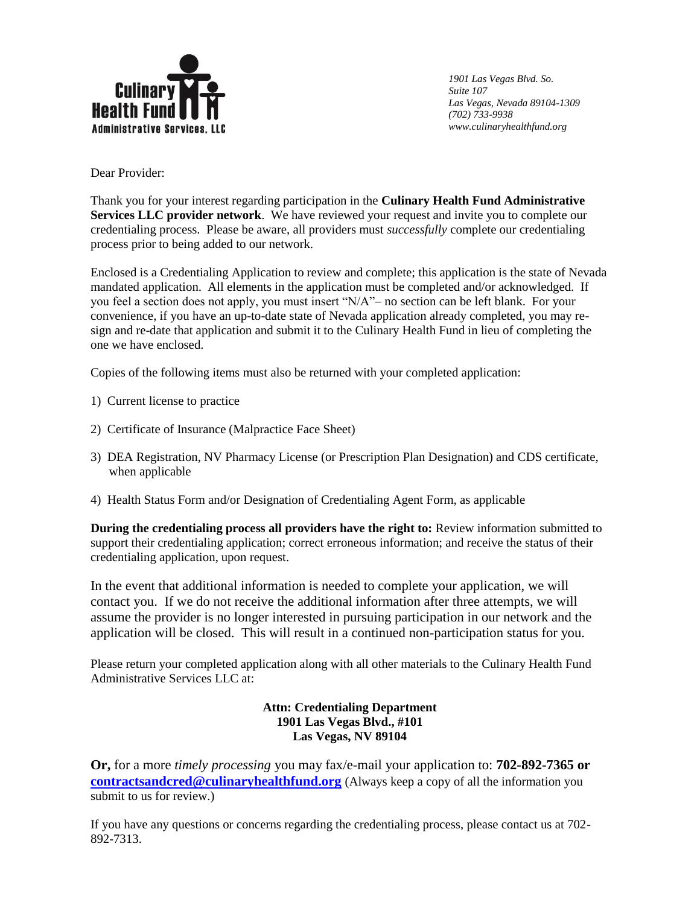

*1901 Las Vegas Blvd. So. Suite 107 Las Vegas, Nevada 89104-1309 (702) 733-9938 www.culinaryhealthfund.org*

Dear Provider:

Thank you for your interest regarding participation in the **Culinary Health Fund Administrative Services LLC provider network**. We have reviewed your request and invite you to complete our credentialing process. Please be aware, all providers must *successfully* complete our credentialing process prior to being added to our network.

Enclosed is a Credentialing Application to review and complete; this application is the state of Nevada mandated application. All elements in the application must be completed and/or acknowledged. If you feel a section does not apply, you must insert "N/A"– no section can be left blank. For your convenience, if you have an up-to-date state of Nevada application already completed, you may resign and re-date that application and submit it to the Culinary Health Fund in lieu of completing the one we have enclosed.

Copies of the following items must also be returned with your completed application:

- 1) Current license to practice
- 2) Certificate of Insurance (Malpractice Face Sheet)
- 3) DEA Registration, NV Pharmacy License (or Prescription Plan Designation) and CDS certificate, when applicable
- 4) Health Status Form and/or Designation of Credentialing Agent Form, as applicable

**During the credentialing process all providers have the right to:** Review information submitted to support their credentialing application; correct erroneous information; and receive the status of their credentialing application, upon request.

In the event that additional information is needed to complete your application, we will contact you. If we do not receive the additional information after three attempts, we will assume the provider is no longer interested in pursuing participation in our network and the application will be closed. This will result in a continued non-participation status for you.

Please return your completed application along with all other materials to the Culinary Health Fund Administrative Services LLC at:

## **Attn: Credentialing Department 1901 Las Vegas Blvd., #101 Las Vegas, NV 89104**

**Or,** for a more *timely processing* you may fax/e-mail your application to: **702-892-7365 or [contractsandcred@culinaryhealthfund.org](mailto:contractsandcred@culinaryhealthfund.org)** (Always keep a copy of all the information you submit to us for review.)

If you have any questions or concerns regarding the credentialing process, please contact us at 702- 892-7313.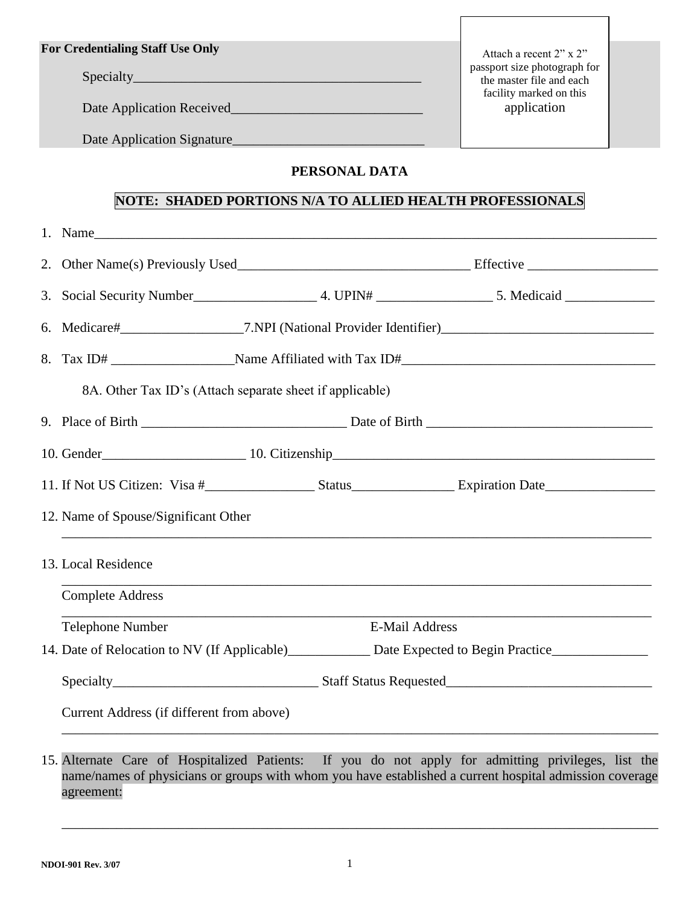**For Credentialing Staff Use Only**

Specialty\_\_\_\_\_\_\_\_\_\_\_\_\_\_\_\_\_\_\_\_\_\_\_\_\_\_\_\_\_\_\_\_\_\_\_\_\_\_\_\_\_\_

Date Application Received\_\_\_\_\_\_\_\_\_\_\_\_\_\_\_\_\_\_\_\_\_\_\_\_\_\_\_\_

Date Application Signature

Attach a recent 2" x 2" passport size photograph for the master file and each facility marked on this application

# **PERSONAL DATA**

# **NOTE: SHADED PORTIONS N/A TO ALLIED HEALTH PROFESSIONALS**

| 1. Name                                                  |                       |                                                                                                     |
|----------------------------------------------------------|-----------------------|-----------------------------------------------------------------------------------------------------|
|                                                          |                       |                                                                                                     |
|                                                          |                       |                                                                                                     |
|                                                          |                       |                                                                                                     |
|                                                          |                       |                                                                                                     |
| 8A. Other Tax ID's (Attach separate sheet if applicable) |                       |                                                                                                     |
|                                                          |                       |                                                                                                     |
|                                                          |                       |                                                                                                     |
|                                                          |                       |                                                                                                     |
| 12. Name of Spouse/Significant Other                     |                       |                                                                                                     |
| 13. Local Residence                                      |                       |                                                                                                     |
| <b>Complete Address</b>                                  |                       |                                                                                                     |
| Telephone Number                                         | <b>E-Mail Address</b> |                                                                                                     |
|                                                          |                       | 14. Date of Relocation to NV (If Applicable) Date Expected to Begin Practice                        |
|                                                          |                       |                                                                                                     |
| Current Address (if different from above)                |                       |                                                                                                     |
|                                                          |                       | 15. Alternate Care of Hospitalized Patients: If you do not apply for admitting privileges, list the |

name/names of physicians or groups with whom you have established a current hospital admission coverage agreement:

\_\_\_\_\_\_\_\_\_\_\_\_\_\_\_\_\_\_\_\_\_\_\_\_\_\_\_\_\_\_\_\_\_\_\_\_\_\_\_\_\_\_\_\_\_\_\_\_\_\_\_\_\_\_\_\_\_\_\_\_\_\_\_\_\_\_\_\_\_\_\_\_\_\_\_\_\_\_\_\_\_\_\_\_\_\_\_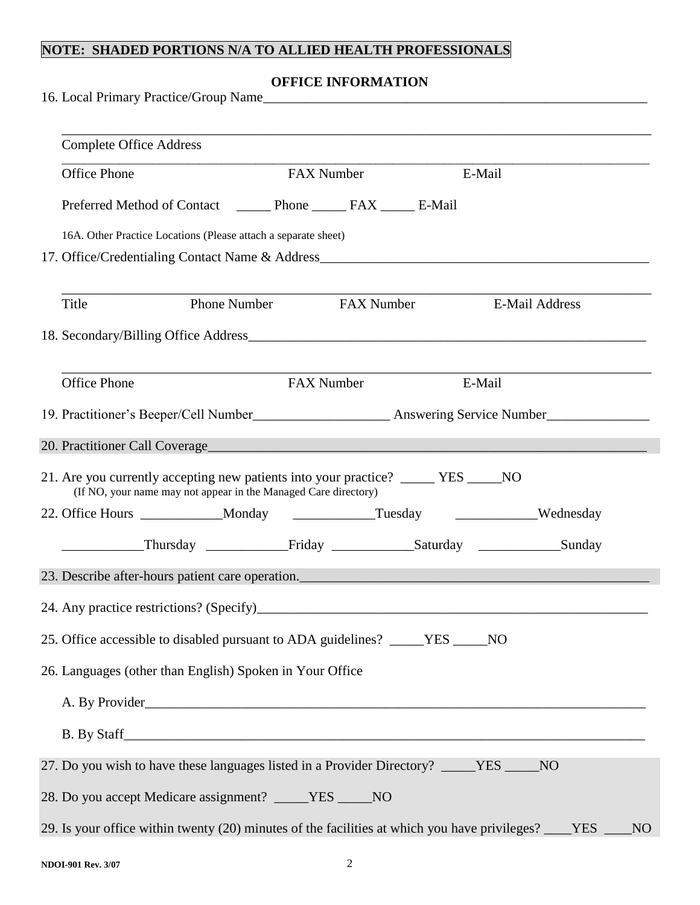## **OFFICE INFORMATION**

16. Local Primary Practice/Group Name\_\_\_\_\_\_\_\_\_\_\_\_\_\_\_\_\_\_\_\_\_\_\_\_\_\_\_\_\_\_\_\_\_\_\_\_\_\_\_\_\_\_\_\_\_\_\_\_\_\_\_\_\_\_\_\_

|                                                                                                            | <b>Complete Office Address</b>                                                                                                                         |                   |                                                                                                                                                                                                                               |    |
|------------------------------------------------------------------------------------------------------------|--------------------------------------------------------------------------------------------------------------------------------------------------------|-------------------|-------------------------------------------------------------------------------------------------------------------------------------------------------------------------------------------------------------------------------|----|
| <b>Office Phone</b>                                                                                        |                                                                                                                                                        | <b>FAX Number</b> | E-Mail                                                                                                                                                                                                                        |    |
|                                                                                                            |                                                                                                                                                        |                   |                                                                                                                                                                                                                               |    |
|                                                                                                            | 16A. Other Practice Locations (Please attach a separate sheet)                                                                                         |                   |                                                                                                                                                                                                                               |    |
|                                                                                                            |                                                                                                                                                        |                   | 17. Office/Credentialing Contact Name & Address                                                                                                                                                                               |    |
| Title                                                                                                      |                                                                                                                                                        |                   | Phone Number FAX Number E-Mail Address                                                                                                                                                                                        |    |
|                                                                                                            |                                                                                                                                                        |                   |                                                                                                                                                                                                                               |    |
| <b>Office Phone</b>                                                                                        |                                                                                                                                                        | FAX Number        | E-Mail                                                                                                                                                                                                                        |    |
|                                                                                                            |                                                                                                                                                        |                   |                                                                                                                                                                                                                               |    |
|                                                                                                            |                                                                                                                                                        |                   | 20. Practitioner Call Coverage expression and the contract of the contract of the contract of the contract of the contract of the contract of the contract of the contract of the contract of the contract of the contract of |    |
|                                                                                                            | 21. Are you currently accepting new patients into your practice? _____ YES _____ NO<br>(If NO, your name may not appear in the Managed Care directory) |                   |                                                                                                                                                                                                                               |    |
|                                                                                                            |                                                                                                                                                        |                   | 22. Office Hours _____________Monday _____________Tuesday ________________Wednesday                                                                                                                                           |    |
|                                                                                                            |                                                                                                                                                        |                   |                                                                                                                                                                                                                               |    |
|                                                                                                            |                                                                                                                                                        |                   |                                                                                                                                                                                                                               |    |
|                                                                                                            |                                                                                                                                                        |                   |                                                                                                                                                                                                                               |    |
|                                                                                                            | 25. Office accessible to disabled pursuant to ADA guidelines? ____YES ____NO                                                                           |                   |                                                                                                                                                                                                                               |    |
|                                                                                                            | 26. Languages (other than English) Spoken in Your Office                                                                                               |                   |                                                                                                                                                                                                                               |    |
|                                                                                                            |                                                                                                                                                        |                   |                                                                                                                                                                                                                               |    |
|                                                                                                            |                                                                                                                                                        |                   | B. By Staff                                                                                                                                                                                                                   |    |
|                                                                                                            |                                                                                                                                                        |                   | 27. Do you wish to have these languages listed in a Provider Directory? _____YES _____NO                                                                                                                                      |    |
|                                                                                                            | 28. Do you accept Medicare assignment? _____YES ____NO                                                                                                 |                   |                                                                                                                                                                                                                               |    |
| 29. Is your office within twenty (20) minutes of the facilities at which you have privileges? ____YES ____ |                                                                                                                                                        |                   |                                                                                                                                                                                                                               | NO |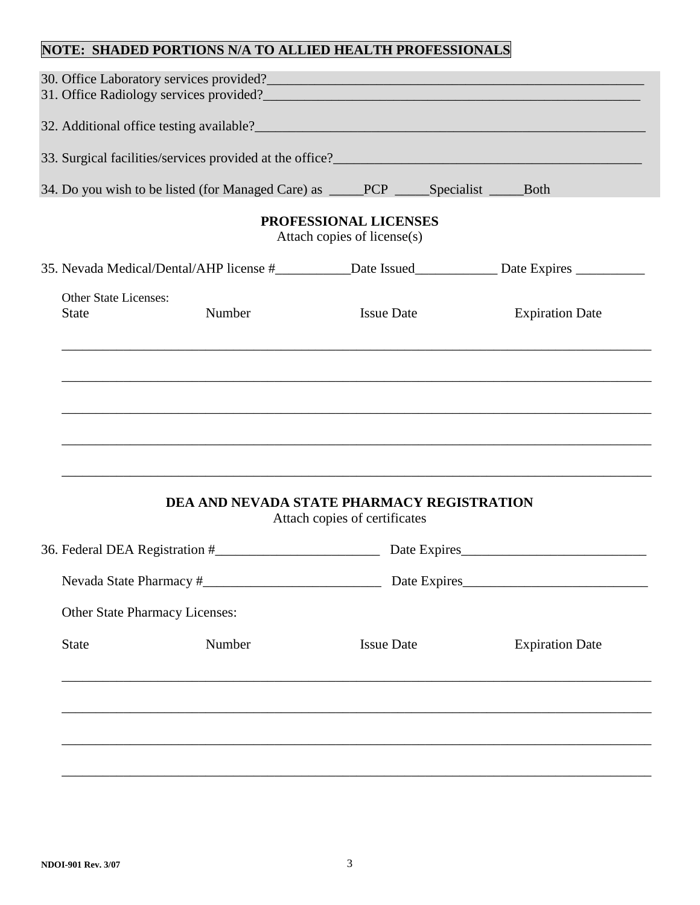|                                              | 34. Do you wish to be listed (for Managed Care) as _____PCP _____Specialist _____Both |                             |                                                                                                     |
|----------------------------------------------|---------------------------------------------------------------------------------------|-----------------------------|-----------------------------------------------------------------------------------------------------|
|                                              | PROFESSIONAL LICENSES                                                                 | Attach copies of license(s) |                                                                                                     |
|                                              |                                                                                       |                             | 35. Nevada Medical/Dental/AHP license #___________Date Issued_____________Date Expires ____________ |
| <b>Other State Licenses:</b><br><b>State</b> | Number                                                                                | <b>Issue Date</b>           | <b>Expiration Date</b>                                                                              |
|                                              |                                                                                       |                             |                                                                                                     |
|                                              |                                                                                       |                             |                                                                                                     |
|                                              |                                                                                       |                             |                                                                                                     |
|                                              |                                                                                       |                             |                                                                                                     |
|                                              | DEA AND NEVADA STATE PHARMACY REGISTRATION<br>Attach copies of certificates           |                             |                                                                                                     |
|                                              |                                                                                       |                             |                                                                                                     |
| Nevada State Pharmacy #                      |                                                                                       |                             |                                                                                                     |
| Other State Pharmacy Licenses:               |                                                                                       |                             |                                                                                                     |
| <b>State</b>                                 | Number                                                                                | <b>Issue Date</b>           | <b>Expiration Date</b>                                                                              |
|                                              |                                                                                       |                             |                                                                                                     |
|                                              |                                                                                       |                             |                                                                                                     |
|                                              |                                                                                       |                             |                                                                                                     |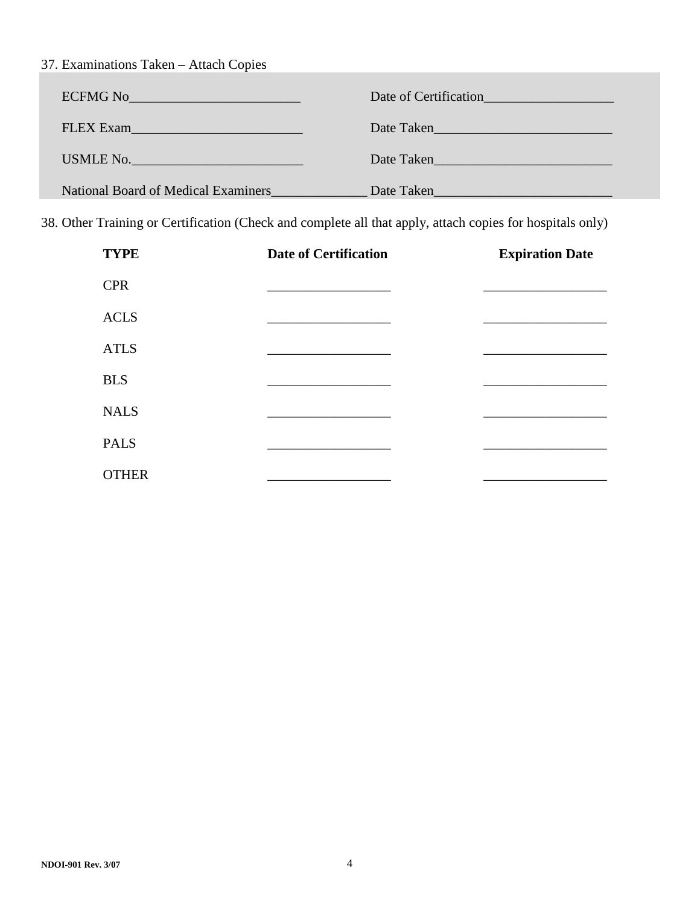| 37. Examinations Taken - Attach Copies     |                       |
|--------------------------------------------|-----------------------|
| ECFMG No                                   | Date of Certification |
| FLEX Exam                                  | Date Taken            |
| USMLE No.                                  | Date Taken            |
| <b>National Board of Medical Examiners</b> | Date Taken            |

38. Other Training or Certification (Check and complete all that apply, attach copies for hospitals only)

| <b>TYPE</b>  | <b>Date of Certification</b> | <b>Expiration Date</b> |
|--------------|------------------------------|------------------------|
| <b>CPR</b>   |                              |                        |
| <b>ACLS</b>  |                              |                        |
| <b>ATLS</b>  |                              |                        |
| <b>BLS</b>   |                              |                        |
| <b>NALS</b>  |                              |                        |
| <b>PALS</b>  |                              |                        |
| <b>OTHER</b> |                              |                        |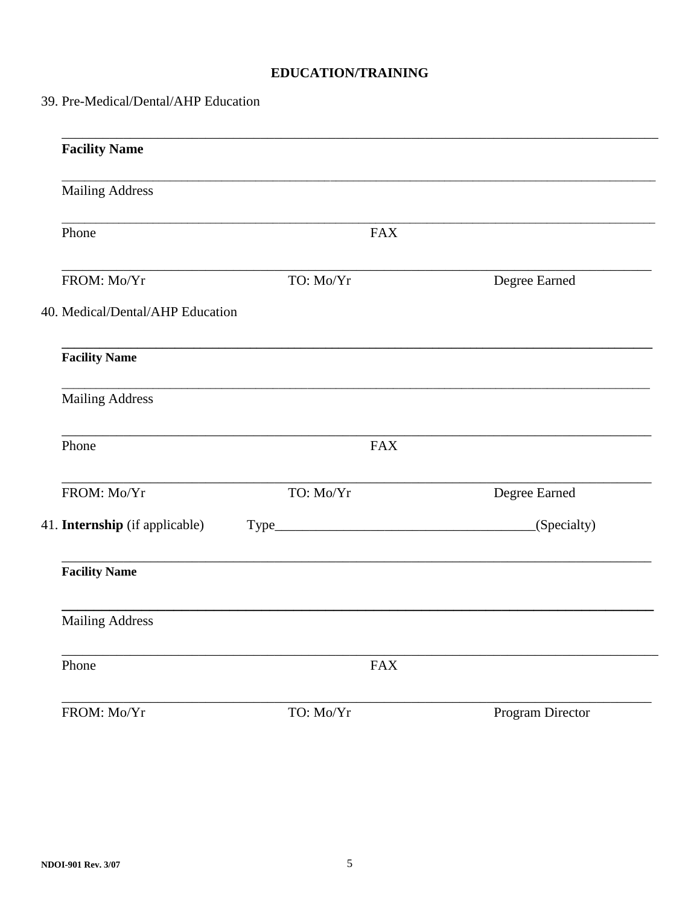# EDUCATION/TRAINING

39. Pre-Medical/Dental/AHP Education

| <b>Facility Name</b>                  |            |                  |
|---------------------------------------|------------|------------------|
| <b>Mailing Address</b>                |            |                  |
| Phone                                 | <b>FAX</b> |                  |
| FROM: Mo/Yr                           | TO: Mo/Yr  | Degree Earned    |
| 40. Medical/Dental/AHP Education      |            |                  |
| <b>Facility Name</b>                  |            |                  |
| <b>Mailing Address</b>                |            |                  |
| Phone                                 | <b>FAX</b> |                  |
| FROM: Mo/Yr                           | TO: Mo/Yr  | Degree Earned    |
| 41. <b>Internship</b> (if applicable) |            | (Specialty)      |
| <b>Facility Name</b>                  |            |                  |
| <b>Mailing Address</b>                |            |                  |
| Phone                                 | <b>FAX</b> |                  |
| FROM: Mo/Yr                           | TO: Mo/Yr  | Program Director |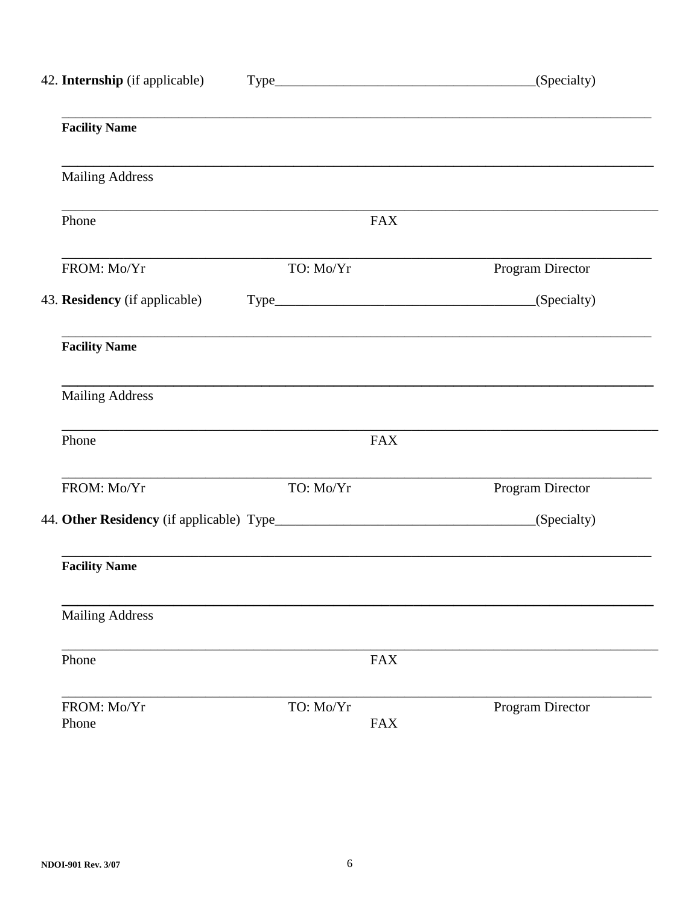| 42. <b>Internship</b> (if applicable) |           |            |                  |
|---------------------------------------|-----------|------------|------------------|
| <b>Facility Name</b>                  |           |            |                  |
| <b>Mailing Address</b>                |           |            |                  |
| Phone                                 |           | <b>FAX</b> |                  |
| FROM: Mo/Yr                           | TO: Mo/Yr |            | Program Director |
| 43. Residency (if applicable)         |           |            |                  |
| <b>Facility Name</b>                  |           |            |                  |
| <b>Mailing Address</b>                |           |            |                  |
| Phone                                 |           | <b>FAX</b> |                  |
| FROM: Mo/Yr                           | TO: Mo/Yr |            | Program Director |
|                                       |           |            |                  |
| <b>Facility Name</b>                  |           |            |                  |
| <b>Mailing Address</b>                |           |            |                  |
| Phone                                 |           | <b>FAX</b> |                  |
| FROM: Mo/Yr<br>Phone                  | TO: Mo/Yr | <b>FAX</b> | Program Director |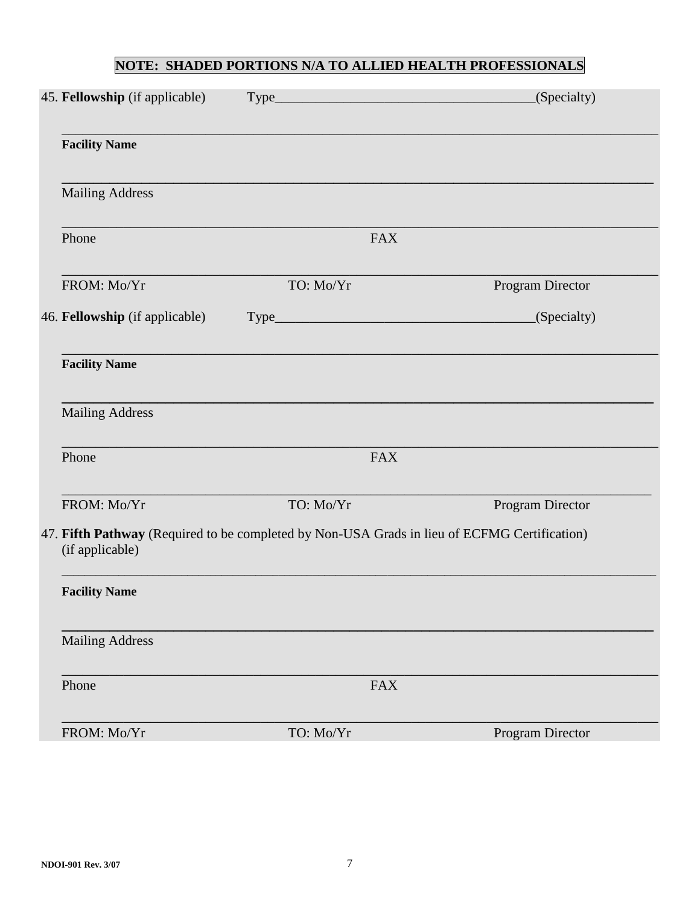| 45. Fellowship (if applicable) |                                                                                              | (Specialty)      |
|--------------------------------|----------------------------------------------------------------------------------------------|------------------|
| <b>Facility Name</b>           |                                                                                              |                  |
| <b>Mailing Address</b>         |                                                                                              |                  |
| Phone                          | <b>FAX</b>                                                                                   |                  |
| FROM: Mo/Yr                    | TO: Mo/Yr                                                                                    | Program Director |
| 46. Fellowship (if applicable) |                                                                                              | (Specialty)      |
| <b>Facility Name</b>           |                                                                                              |                  |
| <b>Mailing Address</b>         |                                                                                              |                  |
| Phone                          | <b>FAX</b>                                                                                   |                  |
| FROM: Mo/Yr                    | TO: Mo/Yr                                                                                    | Program Director |
| (if applicable)                | 47. Fifth Pathway (Required to be completed by Non-USA Grads in lieu of ECFMG Certification) |                  |
| <b>Facility Name</b>           |                                                                                              |                  |
| <b>Mailing Address</b>         |                                                                                              |                  |
| Phone                          | <b>FAX</b>                                                                                   |                  |
| FROM: Mo/Yr                    | TO: Mo/Yr                                                                                    | Program Director |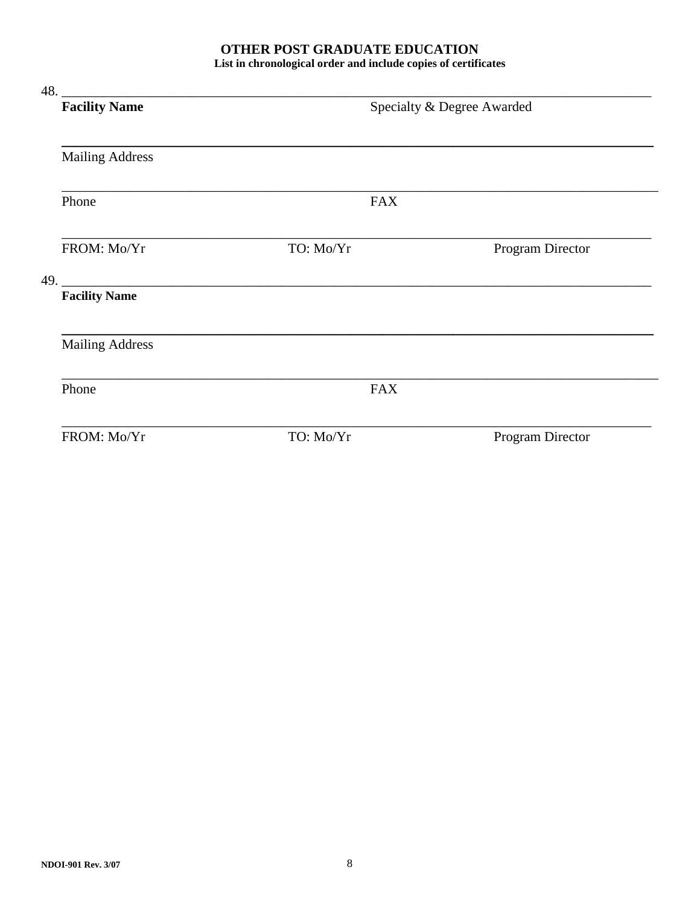# OTHER POST GRADUATE EDUCATION

List in chronological order and include copies of certificates

|            | Specialty & Degree Awarded |
|------------|----------------------------|
|            |                            |
| <b>FAX</b> |                            |
| TO: Mo/Yr  | Program Director           |
|            |                            |
|            |                            |
| <b>FAX</b> |                            |
| TO: Mo/Yr  | Program Director           |
|            |                            |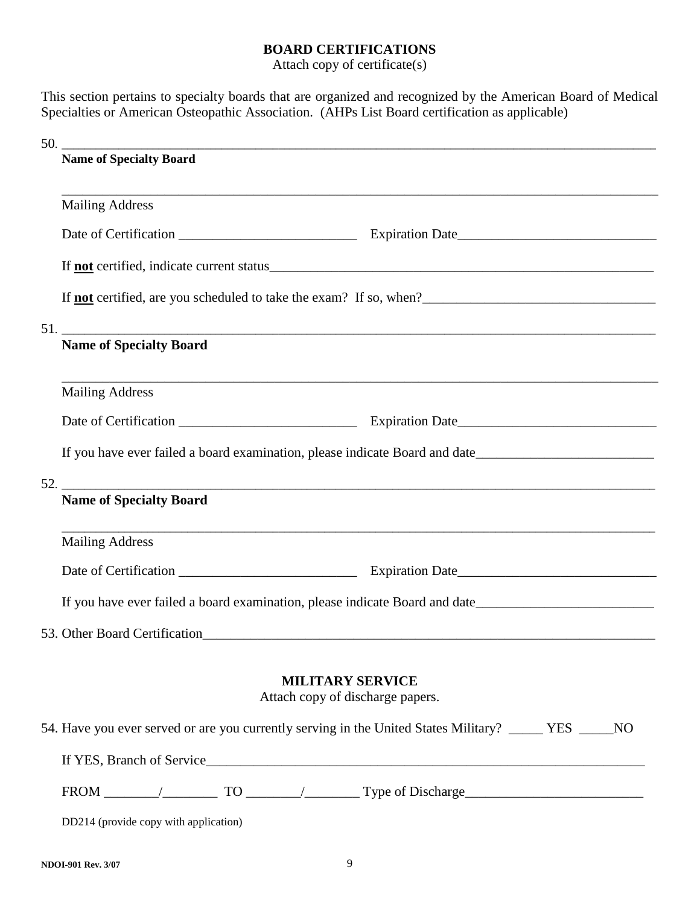## **BOARD CERTIFICATIONS**

Attach copy of certificate(s)

This section pertains to specialty boards that are organized and recognized by the American Board of Medical Specialties or American Osteopathic Association. (AHPs List Board certification as applicable)

| <b>Name of Specialty Board</b><br><b>Mailing Address</b><br><b>Name of Specialty Board</b><br>,我们也不能在这里的时候,我们也不能在这里的时候,我们也不能会在这里的时候,我们也不能会在这里的时候,我们也不能会在这里的时候,我们也不能会在这里的时候,我们也不<br><b>Mailing Address</b><br><b>Name of Specialty Board</b><br><u> 1980 - Johann Barn, mars an t-Amerikaansk politiker (* 1908)</u><br><b>Mailing Address</b><br>53. Other Board Certification Contract of the Contract of the Contract of the Contract of the Contract of the Contract of the Contract of the Contract of the Contract of the Contract of the Contract of the Contract of the<br><b>MILITARY SERVICE</b><br>Attach copy of discharge papers.<br>54. Have you ever served or are you currently serving in the United States Military? _____ YES _____ NO<br>DD214 (provide copy with application) |     |  |
|---------------------------------------------------------------------------------------------------------------------------------------------------------------------------------------------------------------------------------------------------------------------------------------------------------------------------------------------------------------------------------------------------------------------------------------------------------------------------------------------------------------------------------------------------------------------------------------------------------------------------------------------------------------------------------------------------------------------------------------------------------------------------------------------------|-----|--|
|                                                                                                                                                                                                                                                                                                                                                                                                                                                                                                                                                                                                                                                                                                                                                                                                   |     |  |
|                                                                                                                                                                                                                                                                                                                                                                                                                                                                                                                                                                                                                                                                                                                                                                                                   |     |  |
|                                                                                                                                                                                                                                                                                                                                                                                                                                                                                                                                                                                                                                                                                                                                                                                                   |     |  |
| $51.$ $\overline{\phantom{1}}$<br>If you have ever failed a board examination, please indicate Board and date_________________________<br>If you have ever failed a board examination, please indicate Board and date_________________________                                                                                                                                                                                                                                                                                                                                                                                                                                                                                                                                                    |     |  |
|                                                                                                                                                                                                                                                                                                                                                                                                                                                                                                                                                                                                                                                                                                                                                                                                   |     |  |
|                                                                                                                                                                                                                                                                                                                                                                                                                                                                                                                                                                                                                                                                                                                                                                                                   |     |  |
|                                                                                                                                                                                                                                                                                                                                                                                                                                                                                                                                                                                                                                                                                                                                                                                                   |     |  |
|                                                                                                                                                                                                                                                                                                                                                                                                                                                                                                                                                                                                                                                                                                                                                                                                   |     |  |
|                                                                                                                                                                                                                                                                                                                                                                                                                                                                                                                                                                                                                                                                                                                                                                                                   |     |  |
|                                                                                                                                                                                                                                                                                                                                                                                                                                                                                                                                                                                                                                                                                                                                                                                                   |     |  |
|                                                                                                                                                                                                                                                                                                                                                                                                                                                                                                                                                                                                                                                                                                                                                                                                   | 52. |  |
|                                                                                                                                                                                                                                                                                                                                                                                                                                                                                                                                                                                                                                                                                                                                                                                                   |     |  |
|                                                                                                                                                                                                                                                                                                                                                                                                                                                                                                                                                                                                                                                                                                                                                                                                   |     |  |
|                                                                                                                                                                                                                                                                                                                                                                                                                                                                                                                                                                                                                                                                                                                                                                                                   |     |  |
|                                                                                                                                                                                                                                                                                                                                                                                                                                                                                                                                                                                                                                                                                                                                                                                                   |     |  |
|                                                                                                                                                                                                                                                                                                                                                                                                                                                                                                                                                                                                                                                                                                                                                                                                   |     |  |
|                                                                                                                                                                                                                                                                                                                                                                                                                                                                                                                                                                                                                                                                                                                                                                                                   |     |  |
|                                                                                                                                                                                                                                                                                                                                                                                                                                                                                                                                                                                                                                                                                                                                                                                                   |     |  |
|                                                                                                                                                                                                                                                                                                                                                                                                                                                                                                                                                                                                                                                                                                                                                                                                   |     |  |
|                                                                                                                                                                                                                                                                                                                                                                                                                                                                                                                                                                                                                                                                                                                                                                                                   |     |  |
|                                                                                                                                                                                                                                                                                                                                                                                                                                                                                                                                                                                                                                                                                                                                                                                                   |     |  |
|                                                                                                                                                                                                                                                                                                                                                                                                                                                                                                                                                                                                                                                                                                                                                                                                   |     |  |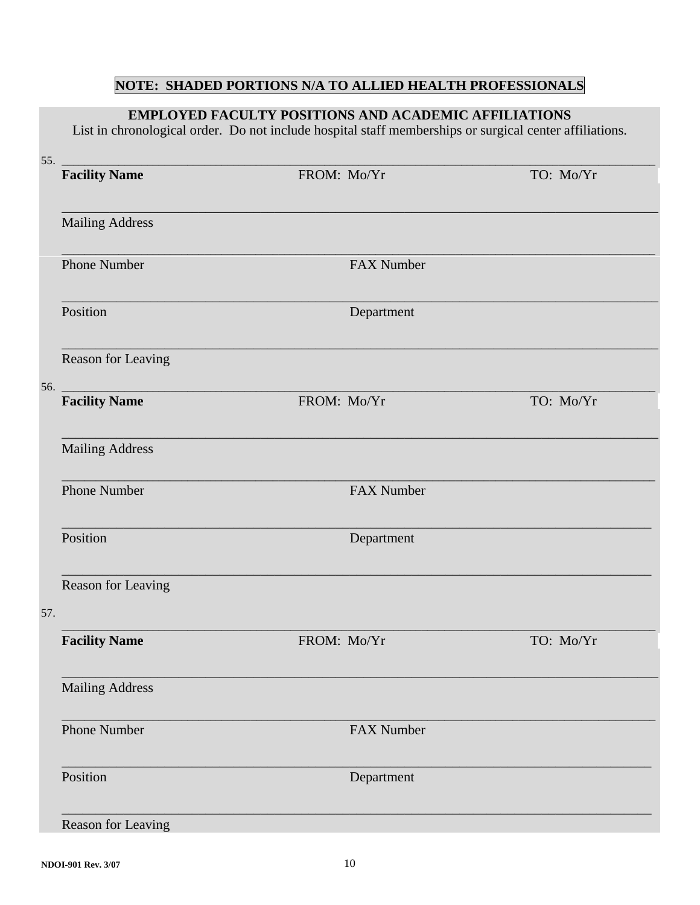# **EMPLOYED FACULTY POSITIONS AND ACADEMIC AFFILIATIONS**

List in chronological order. Do not include hospital staff memberships or surgical center affiliations.

| 55.                    |                   |           |
|------------------------|-------------------|-----------|
| <b>Facility Name</b>   | FROM: Mo/Yr       | TO: Mo/Yr |
| <b>Mailing Address</b> |                   |           |
| <b>Phone Number</b>    | <b>FAX Number</b> |           |
| Position               | Department        |           |
| Reason for Leaving     |                   |           |
| <b>Facility Name</b>   | FROM: Mo/Yr       | TO: Mo/Yr |
| <b>Mailing Address</b> |                   |           |
| <b>Phone Number</b>    | <b>FAX Number</b> |           |
| Position               | Department        |           |
| Reason for Leaving     |                   |           |
| 57.                    |                   |           |
| <b>Facility Name</b>   | FROM: Mo/Yr       | TO: Mo/Yr |
| <b>Mailing Address</b> |                   |           |
| <b>Phone Number</b>    | FAX Number        |           |
| Position               | Department        |           |
| Reason for Leaving     |                   |           |
|                        |                   |           |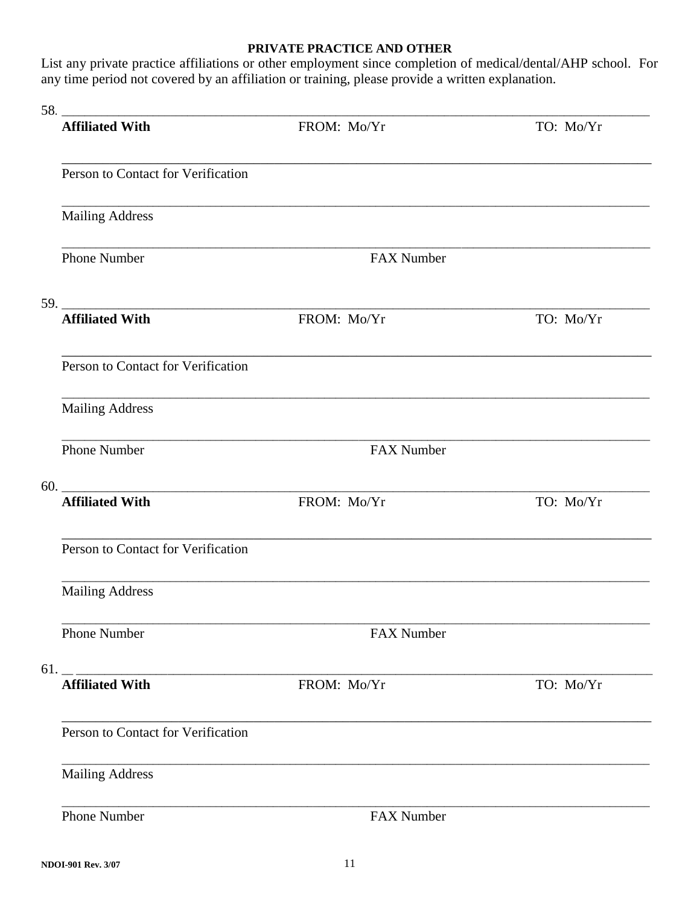## PRIVATE PRACTICE AND OTHER

List any private practice affiliations or other employment since completion of medical/dental/AHP school. For any time period not covered by an affiliation or training, please provide a written explanation.

| 58.                                |                   |           |
|------------------------------------|-------------------|-----------|
| <b>Affiliated With</b>             | FROM: Mo/Yr       | TO: Mo/Yr |
| Person to Contact for Verification |                   |           |
| <b>Mailing Address</b>             |                   |           |
| <b>Phone Number</b>                | <b>FAX Number</b> |           |
|                                    |                   |           |
| <b>Affiliated With</b>             | FROM: Mo/Yr       | TO: Mo/Yr |
| Person to Contact for Verification |                   |           |
| <b>Mailing Address</b>             |                   |           |
| <b>Phone Number</b>                | <b>FAX Number</b> |           |
| 60.                                |                   |           |
| <b>Affiliated With</b>             | FROM: Mo/Yr       | TO: Mo/Yr |
| Person to Contact for Verification |                   |           |
| <b>Mailing Address</b>             |                   |           |
| <b>Phone Number</b>                | <b>FAX Number</b> |           |
| <b>Affiliated With</b>             | FROM: Mo/Yr       | TO: Mo/Yr |
| Person to Contact for Verification |                   |           |
| <b>Mailing Address</b>             |                   |           |
| <b>Phone Number</b>                | <b>FAX Number</b> |           |
|                                    |                   |           |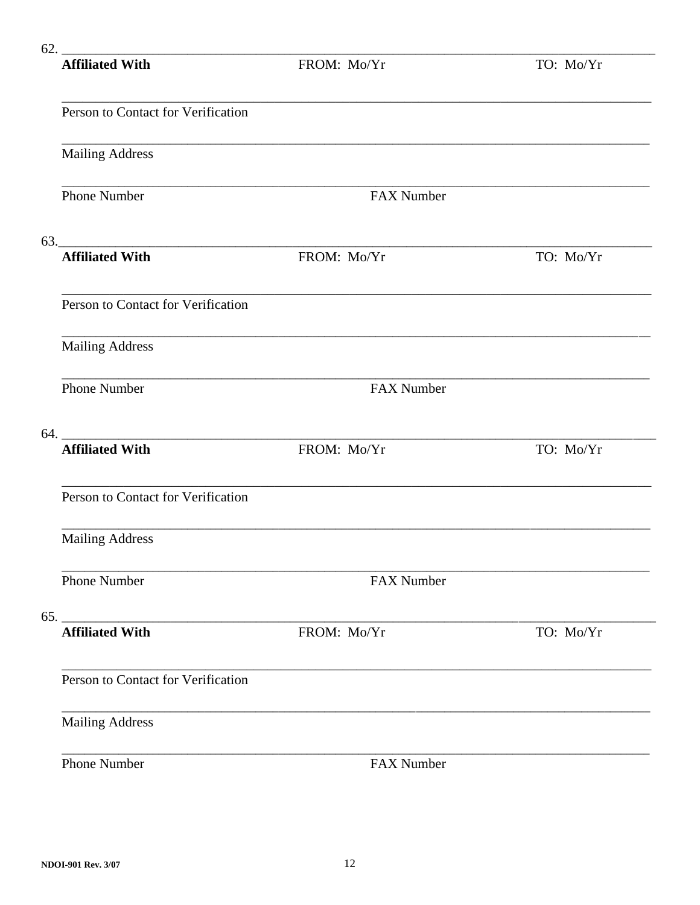# **Affiliated With**

FROM: Mo/Yr

| Person to Contact for Verification |                   |           |
|------------------------------------|-------------------|-----------|
| <b>Mailing Address</b>             |                   |           |
| <b>Phone Number</b>                | <b>FAX Number</b> |           |
| 63.                                |                   |           |
| <b>Affiliated With</b>             | FROM: Mo/Yr       | TO: Mo/Yr |
| Person to Contact for Verification |                   |           |
| <b>Mailing Address</b>             |                   |           |
| <b>Phone Number</b>                | <b>FAX Number</b> |           |
|                                    |                   |           |
| <b>Affiliated With</b>             | FROM: Mo/Yr       | TO: Mo/Yr |
| Person to Contact for Verification |                   |           |
| <b>Mailing Address</b>             |                   |           |
| <b>Phone Number</b>                | FAX Number        |           |
| 65.<br><b>Affiliated With</b>      | FROM: Mo/Yr       | TO: Mo/Yr |
| Person to Contact for Verification |                   |           |
| <b>Mailing Address</b>             |                   |           |
| <b>Phone Number</b>                | FAX Number        |           |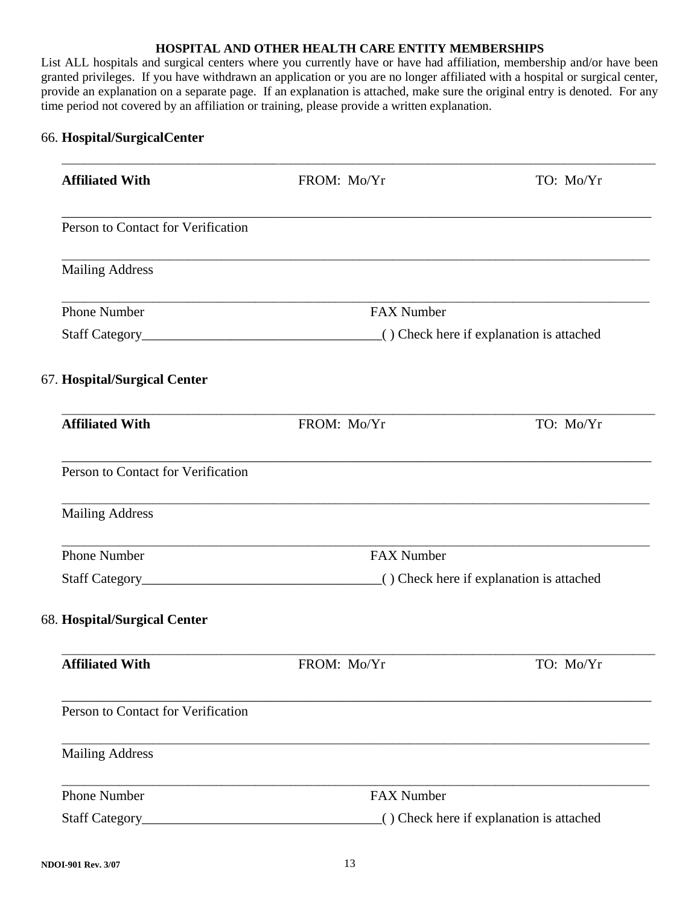## **HOSPITAL AND OTHER HEALTH CARE ENTITY MEMBERSHIPS**

List ALL hospitals and surgical centers where you currently have or have had affiliation, membership and/or have been granted privileges. If you have withdrawn an application or you are no longer affiliated with a hospital or surgical center, provide an explanation on a separate page. If an explanation is attached, make sure the original entry is denoted. For any time period not covered by an affiliation or training, please provide a written explanation.

## 66. **Hospital/SurgicalCenter**

| <b>Affiliated With</b>             | FROM: Mo/Yr       | TO: Mo/Yr                                |
|------------------------------------|-------------------|------------------------------------------|
| Person to Contact for Verification |                   |                                          |
| <b>Mailing Address</b>             |                   |                                          |
| <b>Phone Number</b>                | <b>FAX Number</b> |                                          |
|                                    |                   |                                          |
| 67. Hospital/Surgical Center       |                   |                                          |
| <b>Affiliated With</b>             | FROM: Mo/Yr       | TO: Mo/Yr                                |
| Person to Contact for Verification |                   |                                          |
| <b>Mailing Address</b>             |                   |                                          |
| <b>Phone Number</b>                | FAX Number        |                                          |
|                                    |                   |                                          |
| 68. Hospital/Surgical Center       |                   |                                          |
| <b>Affiliated With</b>             | FROM: Mo/Yr       | TO: Mo/Yr                                |
| Person to Contact for Verification |                   |                                          |
| <b>Mailing Address</b>             |                   |                                          |
| <b>Phone Number</b>                | <b>FAX Number</b> |                                          |
|                                    |                   | () Check here if explanation is attached |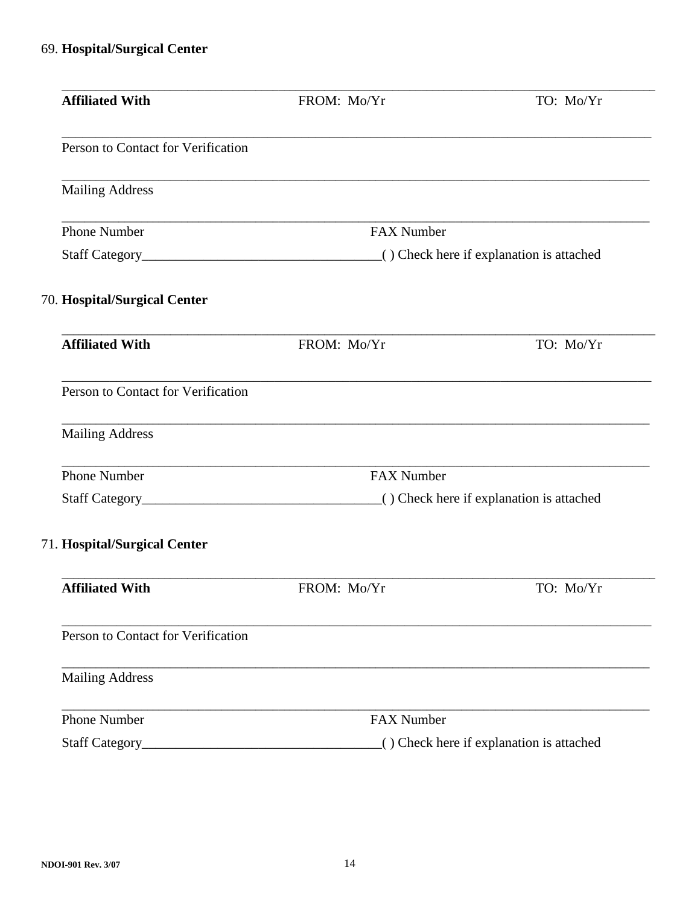| <b>Affiliated With</b>             | FROM: Mo/Yr       | TO: Mo/Yr                                |
|------------------------------------|-------------------|------------------------------------------|
| Person to Contact for Verification |                   |                                          |
| <b>Mailing Address</b>             |                   |                                          |
| <b>Phone Number</b>                | <b>FAX Number</b> |                                          |
|                                    |                   | () Check here if explanation is attached |
| 70. Hospital/Surgical Center       |                   |                                          |
| <b>Affiliated With</b>             | FROM: Mo/Yr       | TO: Mo/Yr                                |
| Person to Contact for Verification |                   |                                          |
| <b>Mailing Address</b>             |                   |                                          |
| <b>Phone Number</b>                | <b>FAX Number</b> |                                          |
|                                    |                   | () Check here if explanation is attached |
| 71. Hospital/Surgical Center       |                   |                                          |
| <b>Affiliated With</b>             | FROM: Mo/Yr       | TO: Mo/Yr                                |
| Person to Contact for Verification |                   |                                          |
| <b>Mailing Address</b>             |                   |                                          |
| <b>Phone Number</b>                | <b>FAX Number</b> |                                          |
| <b>Staff Category</b>              |                   | () Check here if explanation is attached |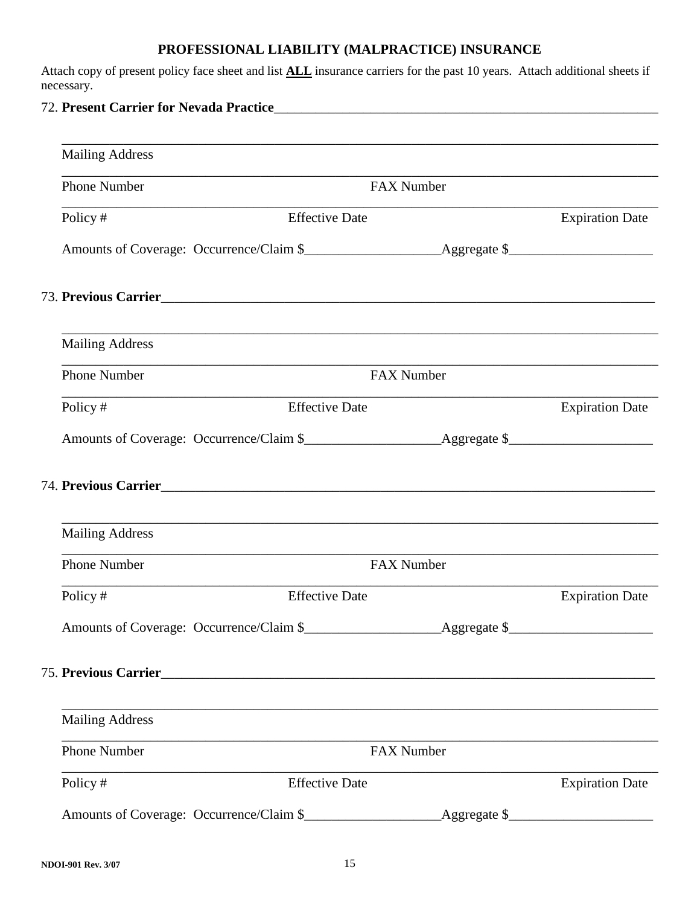# **PROFESSIONAL LIABILITY (MALPRACTICE) INSURANCE**

Attach copy of present policy face sheet and list **ALL** insurance carriers for the past 10 years. Attach additional sheets if necessary.

| <b>Mailing Address</b> |                       |                   |                        |
|------------------------|-----------------------|-------------------|------------------------|
| <b>Phone Number</b>    |                       | <b>FAX Number</b> |                        |
| Policy#                | <b>Effective Date</b> |                   | <b>Expiration Date</b> |
|                        |                       |                   |                        |
|                        |                       |                   |                        |
| <b>Mailing Address</b> |                       |                   |                        |
| <b>Phone Number</b>    |                       | <b>FAX Number</b> |                        |
| Policy#                | <b>Effective Date</b> |                   | <b>Expiration Date</b> |
|                        |                       |                   |                        |
|                        |                       |                   |                        |
| <b>Mailing Address</b> |                       |                   |                        |
| <b>Phone Number</b>    |                       | <b>FAX Number</b> |                        |
| Policy#                | <b>Effective Date</b> |                   | <b>Expiration Date</b> |
|                        |                       |                   |                        |
|                        |                       |                   |                        |
| <b>Mailing Address</b> |                       |                   |                        |
| Phone Number           |                       | FAX Number        |                        |
| Policy#                | <b>Effective Date</b> |                   | <b>Expiration Date</b> |
|                        |                       |                   |                        |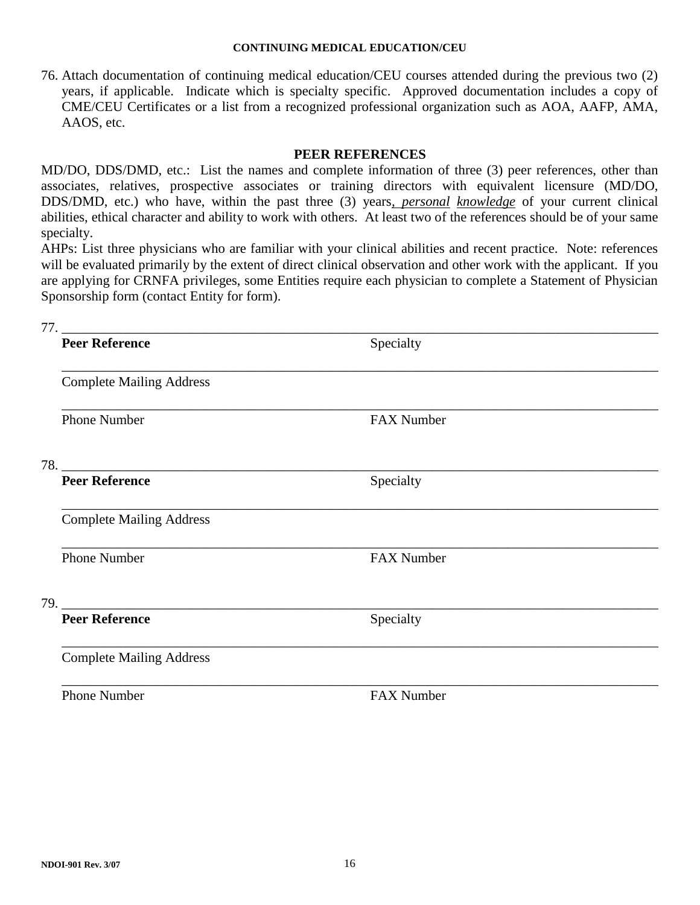## **CONTINUING MEDICAL EDUCATION/CEU**

76. Attach documentation of continuing medical education/CEU courses attended during the previous two (2) years, if applicable. Indicate which is specialty specific. Approved documentation includes a copy of CME/CEU Certificates or a list from a recognized professional organization such as AOA, AAFP, AMA, AAOS, etc.

## **PEER REFERENCES**

MD/DO, DDS/DMD, etc.: List the names and complete information of three (3) peer references, other than associates, relatives, prospective associates or training directors with equivalent licensure (MD/DO, DDS/DMD, etc.) who have, within the past three (3) years*, personal knowledge* of your current clinical abilities, ethical character and ability to work with others. At least two of the references should be of your same specialty.

AHPs: List three physicians who are familiar with your clinical abilities and recent practice. Note: references will be evaluated primarily by the extent of direct clinical observation and other work with the applicant. If you are applying for CRNFA privileges, some Entities require each physician to complete a Statement of Physician Sponsorship form (contact Entity for form).

| <b>Peer Reference</b>           | Specialty         |  |
|---------------------------------|-------------------|--|
| <b>Complete Mailing Address</b> |                   |  |
| <b>Phone Number</b>             | <b>FAX Number</b> |  |
|                                 |                   |  |
| <b>Peer Reference</b>           | Specialty         |  |
| <b>Complete Mailing Address</b> |                   |  |
| <b>Phone Number</b>             | <b>FAX Number</b> |  |
|                                 |                   |  |
| <b>Peer Reference</b>           | Specialty         |  |
| <b>Complete Mailing Address</b> |                   |  |
| <b>Phone Number</b>             | <b>FAX Number</b> |  |
|                                 |                   |  |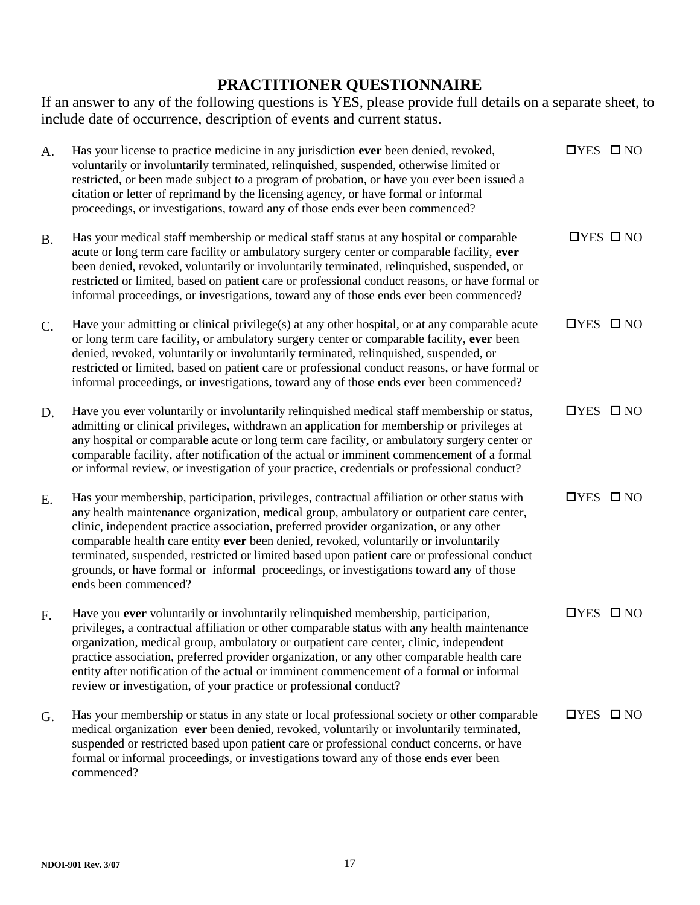# **PRACTITIONER QUESTIONNAIRE**

If an answer to any of the following questions is YES, please provide full details on a separate sheet, to include date of occurrence, description of events and current status.

| A.        | Has your license to practice medicine in any jurisdiction ever been denied, revoked,<br>voluntarily or involuntarily terminated, relinquished, suspended, otherwise limited or<br>restricted, or been made subject to a program of probation, or have you ever been issued a<br>citation or letter of reprimand by the licensing agency, or have formal or informal<br>proceedings, or investigations, toward any of those ends ever been commenced?                                                                                                                                            | $\Box$ YES $\Box$ NO |                      |
|-----------|-------------------------------------------------------------------------------------------------------------------------------------------------------------------------------------------------------------------------------------------------------------------------------------------------------------------------------------------------------------------------------------------------------------------------------------------------------------------------------------------------------------------------------------------------------------------------------------------------|----------------------|----------------------|
| <b>B.</b> | Has your medical staff membership or medical staff status at any hospital or comparable<br>acute or long term care facility or ambulatory surgery center or comparable facility, ever<br>been denied, revoked, voluntarily or involuntarily terminated, relinquished, suspended, or<br>restricted or limited, based on patient care or professional conduct reasons, or have formal or<br>informal proceedings, or investigations, toward any of those ends ever been commenced?                                                                                                                |                      | $\Box$ YES $\Box$ NO |
| C.        | Have your admitting or clinical privilege(s) at any other hospital, or at any comparable acute<br>or long term care facility, or ambulatory surgery center or comparable facility, ever been<br>denied, revoked, voluntarily or involuntarily terminated, relinquished, suspended, or<br>restricted or limited, based on patient care or professional conduct reasons, or have formal or<br>informal proceedings, or investigations, toward any of those ends ever been commenced?                                                                                                              | $\Box$ YES $\Box$ NO |                      |
| D.        | Have you ever voluntarily or involuntarily relinquished medical staff membership or status,<br>admitting or clinical privileges, withdrawn an application for membership or privileges at<br>any hospital or comparable acute or long term care facility, or ambulatory surgery center or<br>comparable facility, after notification of the actual or imminent commencement of a formal<br>or informal review, or investigation of your practice, credentials or professional conduct?                                                                                                          | $\Box$ YES $\Box$ NO |                      |
| Ε.        | Has your membership, participation, privileges, contractual affiliation or other status with<br>any health maintenance organization, medical group, ambulatory or outpatient care center,<br>clinic, independent practice association, preferred provider organization, or any other<br>comparable health care entity ever been denied, revoked, voluntarily or involuntarily<br>terminated, suspended, restricted or limited based upon patient care or professional conduct<br>grounds, or have formal or informal proceedings, or investigations toward any of those<br>ends been commenced? | $\Box$ YES $\Box$ NO |                      |
| F.        | Have you ever voluntarily or involuntarily relinquished membership, participation,<br>privileges, a contractual affiliation or other comparable status with any health maintenance<br>organization, medical group, ambulatory or outpatient care center, clinic, independent<br>practice association, preferred provider organization, or any other comparable health care<br>entity after notification of the actual or imminent commencement of a formal or informal<br>review or investigation, of your practice or professional conduct?                                                    | $\Box$ YES $\Box$ NO |                      |
| G.        | Has your membership or status in any state or local professional society or other comparable<br>medical organization ever been denied, revoked, voluntarily or involuntarily terminated,<br>suspended or restricted based upon patient care or professional conduct concerns, or have<br>formal or informal proceedings, or investigations toward any of those ends ever been<br>commenced?                                                                                                                                                                                                     | $\Box$ YES $\Box$ NO |                      |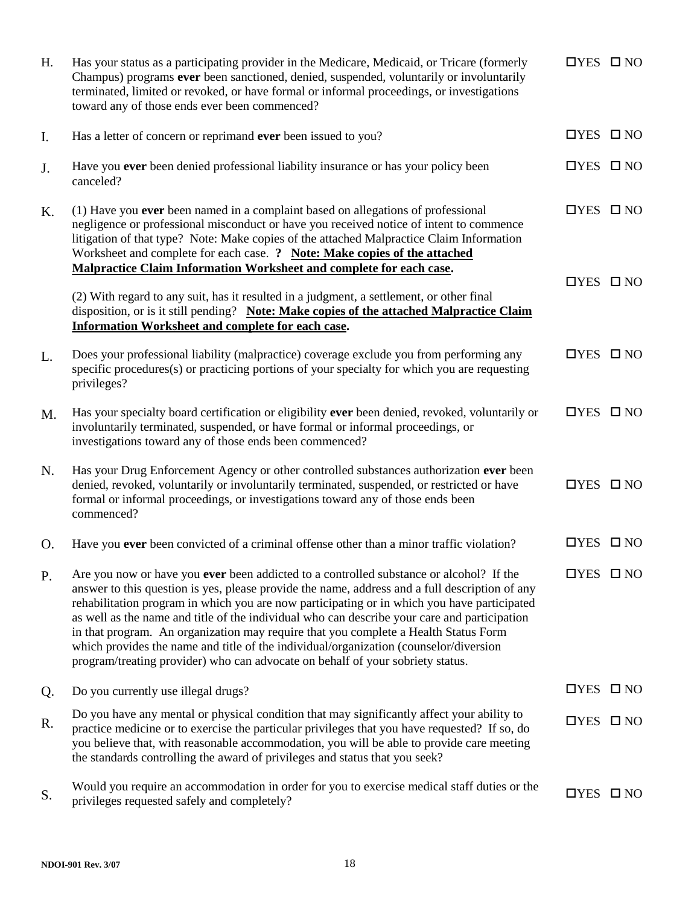| Η. | Has your status as a participating provider in the Medicare, Medicaid, or Tricare (formerly<br>Champus) programs ever been sanctioned, denied, suspended, voluntarily or involuntarily<br>terminated, limited or revoked, or have formal or informal proceedings, or investigations<br>toward any of those ends ever been commenced?                                                                                                                                                                                                                                                                                                                              | $\Box$ YES $\Box$ NO |              |
|----|-------------------------------------------------------------------------------------------------------------------------------------------------------------------------------------------------------------------------------------------------------------------------------------------------------------------------------------------------------------------------------------------------------------------------------------------------------------------------------------------------------------------------------------------------------------------------------------------------------------------------------------------------------------------|----------------------|--------------|
| Ι. | Has a letter of concern or reprimand ever been issued to you?                                                                                                                                                                                                                                                                                                                                                                                                                                                                                                                                                                                                     | $\Box$ YES $\Box$ NO |              |
| J. | Have you ever been denied professional liability insurance or has your policy been<br>canceled?                                                                                                                                                                                                                                                                                                                                                                                                                                                                                                                                                                   | $\Box$ YES $\Box$ NO |              |
| K. | (1) Have you ever been named in a complaint based on allegations of professional<br>negligence or professional misconduct or have you received notice of intent to commence<br>litigation of that type? Note: Make copies of the attached Malpractice Claim Information<br>Worksheet and complete for each case. ? Note: Make copies of the attached<br>Malpractice Claim Information Worksheet and complete for each case.                                                                                                                                                                                                                                       | $\Box$ YES $\Box$ NO |              |
|    | (2) With regard to any suit, has it resulted in a judgment, a settlement, or other final<br>disposition, or is it still pending? Note: Make copies of the attached Malpractice Claim<br><b>Information Worksheet and complete for each case.</b>                                                                                                                                                                                                                                                                                                                                                                                                                  | $\Box$ YES $\Box$ NO |              |
| L. | Does your professional liability (malpractice) coverage exclude you from performing any<br>specific procedures(s) or practicing portions of your specialty for which you are requesting<br>privileges?                                                                                                                                                                                                                                                                                                                                                                                                                                                            | $\Box$ YES $\Box$ NO |              |
| M. | Has your specialty board certification or eligibility ever been denied, revoked, voluntarily or<br>involuntarily terminated, suspended, or have formal or informal proceedings, or<br>investigations toward any of those ends been commenced?                                                                                                                                                                                                                                                                                                                                                                                                                     | $\Box$ YES $\Box$ NO |              |
| N. | Has your Drug Enforcement Agency or other controlled substances authorization ever been<br>denied, revoked, voluntarily or involuntarily terminated, suspended, or restricted or have<br>formal or informal proceedings, or investigations toward any of those ends been<br>commenced?                                                                                                                                                                                                                                                                                                                                                                            | $\Box$ YES $\Box$ NO |              |
| O. | Have you ever been convicted of a criminal offense other than a minor traffic violation?                                                                                                                                                                                                                                                                                                                                                                                                                                                                                                                                                                          | $\Box$ YES           | $\square$ NO |
| P. | Are you now or have you <b>ever</b> been addicted to a controlled substance or alcohol? If the<br>answer to this question is yes, please provide the name, address and a full description of any<br>rehabilitation program in which you are now participating or in which you have participated<br>as well as the name and title of the individual who can describe your care and participation<br>in that program. An organization may require that you complete a Health Status Form<br>which provides the name and title of the individual/organization (counselor/diversion<br>program/treating provider) who can advocate on behalf of your sobriety status. | $\Box$ YES $\Box$ NO |              |
| Q. | Do you currently use illegal drugs?                                                                                                                                                                                                                                                                                                                                                                                                                                                                                                                                                                                                                               | $\Box$ YES $\Box$ NO |              |
| R. | Do you have any mental or physical condition that may significantly affect your ability to<br>practice medicine or to exercise the particular privileges that you have requested? If so, do<br>you believe that, with reasonable accommodation, you will be able to provide care meeting<br>the standards controlling the award of privileges and status that you seek?                                                                                                                                                                                                                                                                                           | $\Box$ YES $\Box$ NO |              |
| S. | Would you require an accommodation in order for you to exercise medical staff duties or the<br>privileges requested safely and completely?                                                                                                                                                                                                                                                                                                                                                                                                                                                                                                                        | $\Box$ YES $\Box$ NO |              |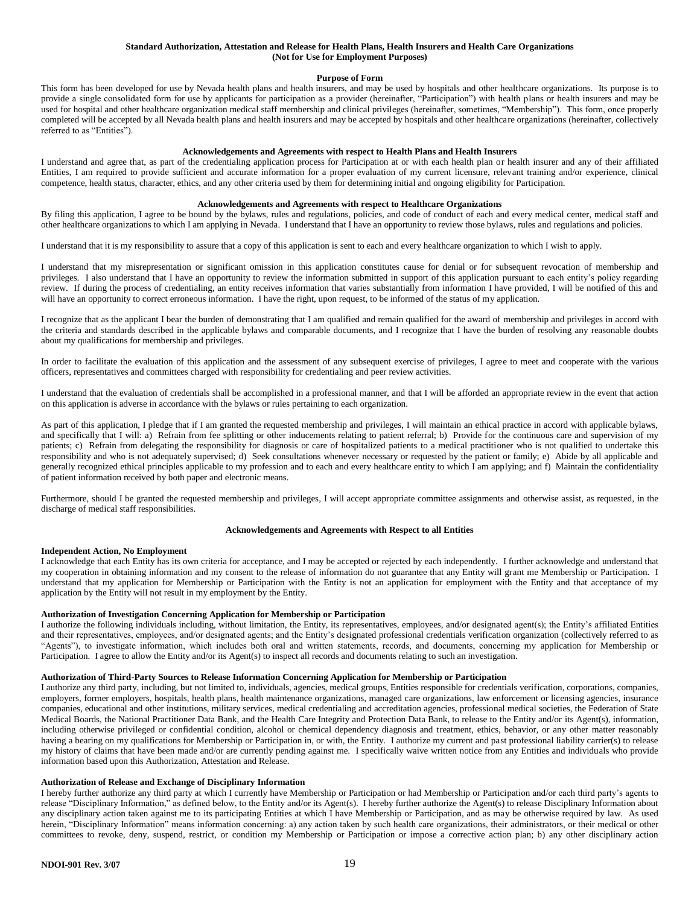#### **Standard Authorization, Attestation and Release for Health Plans, Health Insurers and Health Care Organizations (Not for Use for Employment Purposes)**

## **Purpose of Form**

This form has been developed for use by Nevada health plans and health insurers, and may be used by hospitals and other healthcare organizations. Its purpose is to provide a single consolidated form for use by applicants for participation as a provider (hereinafter, "Participation") with health plans or health insurers and may be used for hospital and other healthcare organization medical staff membership and clinical privileges (hereinafter, sometimes, "Membership"). This form, once properly completed will be accepted by all Nevada health plans and health insurers and may be accepted by hospitals and other healthcare organizations (hereinafter, collectively referred to as "Entities").

## **Acknowledgements and Agreements with respect to Health Plans and Health Insurers**

I understand and agree that, as part of the credentialing application process for Participation at or with each health plan or health insurer and any of their affiliated Entities, I am required to provide sufficient and accurate information for a proper evaluation of my current licensure, relevant training and/or experience, clinical competence, health status, character, ethics, and any other criteria used by them for determining initial and ongoing eligibility for Participation.

### **Acknowledgements and Agreements with respect to Healthcare Organizations**

By filing this application, I agree to be bound by the bylaws, rules and regulations, policies, and code of conduct of each and every medical center, medical staff and other healthcare organizations to which I am applying in Nevada. I understand that I have an opportunity to review those bylaws, rules and regulations and policies.

I understand that it is my responsibility to assure that a copy of this application is sent to each and every healthcare organization to which I wish to apply.

I understand that my misrepresentation or significant omission in this application constitutes cause for denial or for subsequent revocation of membership and privileges. I also understand that I have an opportunity to review the information submitted in support of this application pursuant to each entity's policy regarding review. If during the process of credentialing, an entity receives information that varies substantially from information I have provided, I will be notified of this and will have an opportunity to correct erroneous information. I have the right, upon request, to be informed of the status of my application.

I recognize that as the applicant I bear the burden of demonstrating that I am qualified and remain qualified for the award of membership and privileges in accord with the criteria and standards described in the applicable bylaws and comparable documents, and I recognize that I have the burden of resolving any reasonable doubts about my qualifications for membership and privileges.

In order to facilitate the evaluation of this application and the assessment of any subsequent exercise of privileges, I agree to meet and cooperate with the various officers, representatives and committees charged with responsibility for credentialing and peer review activities.

I understand that the evaluation of credentials shall be accomplished in a professional manner, and that I will be afforded an appropriate review in the event that action on this application is adverse in accordance with the bylaws or rules pertaining to each organization.

As part of this application, I pledge that if I am granted the requested membership and privileges, I will maintain an ethical practice in accord with applicable bylaws, and specifically that I will: a) Refrain from fee splitting or other inducements relating to patient referral; b) Provide for the continuous care and supervision of my patients; c) Refrain from delegating the responsibility for diagnosis or care of hospitalized patients to a medical practitioner who is not qualified to undertake this responsibility and who is not adequately supervised; d) Seek consultations whenever necessary or requested by the patient or family; e) Abide by all applicable and generally recognized ethical principles applicable to my profession and to each and every healthcare entity to which I am applying; and f) Maintain the confidentiality of patient information received by both paper and electronic means.

Furthermore, should I be granted the requested membership and privileges, I will accept appropriate committee assignments and otherwise assist, as requested, in the discharge of medical staff responsibilities.

### **Acknowledgements and Agreements with Respect to all Entities**

## **Independent Action, No Employment**

I acknowledge that each Entity has its own criteria for acceptance, and I may be accepted or rejected by each independently. I further acknowledge and understand that my cooperation in obtaining information and my consent to the release of information do not guarantee that any Entity will grant me Membership or Participation. I understand that my application for Membership or Participation with the Entity is not an application for employment with the Entity and that acceptance of my application by the Entity will not result in my employment by the Entity.

### **Authorization of Investigation Concerning Application for Membership or Participation**

I authorize the following individuals including, without limitation, the Entity, its representatives, employees, and/or designated agent(s); the Entity's affiliated Entities and their representatives, employees, and/or designated agents; and the Entity's designated professional credentials verification organization (collectively referred to as "Agents"), to investigate information, which includes both oral and written statements, records, and documents, concerning my application for Membership or Participation. I agree to allow the Entity and/or its Agent(s) to inspect all records and documents relating to such an investigation.

#### **Authorization of Third-Party Sources to Release Information Concerning Application for Membership or Participation**

I authorize any third party, including, but not limited to, individuals, agencies, medical groups, Entities responsible for credentials verification, corporations, companies, employers, former employers, hospitals, health plans, health maintenance organizations, managed care organizations, law enforcement or licensing agencies, insurance companies, educational and other institutions, military services, medical credentialing and accreditation agencies, professional medical societies, the Federation of State Medical Boards, the National Practitioner Data Bank, and the Health Care Integrity and Protection Data Bank, to release to the Entity and/or its Agent(s), information, including otherwise privileged or confidential condition, alcohol or chemical dependency diagnosis and treatment, ethics, behavior, or any other matter reasonably having a bearing on my qualifications for Membership or Participation in, or with, the Entity. I authorize my current and past professional liability carrier(s) to release my history of claims that have been made and/or are currently pending against me. I specifically waive written notice from any Entities and individuals who provide information based upon this Authorization, Attestation and Release.

### **Authorization of Release and Exchange of Disciplinary Information**

I hereby further authorize any third party at which I currently have Membership or Participation or had Membership or Participation and/or each third party's agents to release "Disciplinary Information," as defined below, to the Entity and/or its Agent(s). I hereby further authorize the Agent(s) to release Disciplinary Information about any disciplinary action taken against me to its participating Entities at which I have Membership or Participation, and as may be otherwise required by law. As used herein, "Disciplinary Information" means information concerning: a) any action taken by such health care organizations, their administrators, or their medical or other committees to revoke, deny, suspend, restrict, or condition my Membership or Participation or impose a corrective action plan; b) any other disciplinary action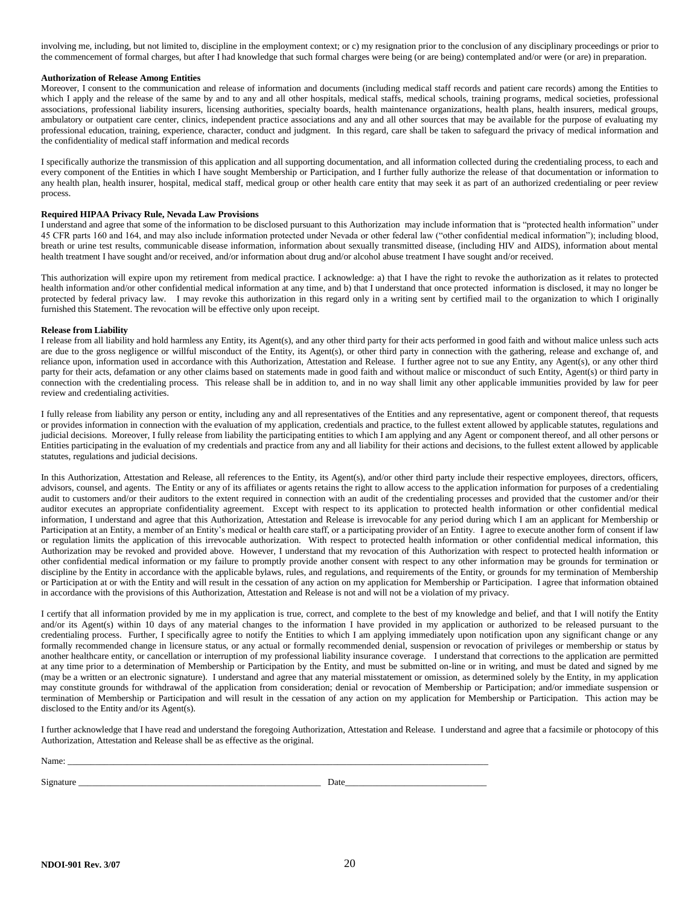involving me, including, but not limited to, discipline in the employment context; or c) my resignation prior to the conclusion of any disciplinary proceedings or prior to the commencement of formal charges, but after I had knowledge that such formal charges were being (or are being) contemplated and/or were (or are) in preparation.

#### **Authorization of Release Among Entities**

Moreover, I consent to the communication and release of information and documents (including medical staff records and patient care records) among the Entities to which I apply and the release of the same by and to any and all other hospitals, medical staffs, medical schools, training programs, medical societies, professional associations, professional liability insurers, licensing authorities, specialty boards, health maintenance organizations, health plans, health insurers, medical groups, ambulatory or outpatient care center, clinics, independent practice associations and any and all other sources that may be available for the purpose of evaluating my professional education, training, experience, character, conduct and judgment. In this regard, care shall be taken to safeguard the privacy of medical information and the confidentiality of medical staff information and medical records

I specifically authorize the transmission of this application and all supporting documentation, and all information collected during the credentialing process, to each and every component of the Entities in which I have sought Membership or Participation, and I further fully authorize the release of that documentation or information to any health plan, health insurer, hospital, medical staff, medical group or other health care entity that may seek it as part of an authorized credentialing or peer review process.

#### **Required HIPAA Privacy Rule, Nevada Law Provisions**

I understand and agree that some of the information to be disclosed pursuant to this Authorization may include information that is "protected health information" under 45 CFR parts 160 and 164, and may also include information protected under Nevada or other federal law ("other confidential medical information"); including blood, breath or urine test results, communicable disease information, information about sexually transmitted disease, (including HIV and AIDS), information about mental health treatment I have sought and/or received, and/or information about drug and/or alcohol abuse treatment I have sought and/or received.

This authorization will expire upon my retirement from medical practice. I acknowledge: a) that I have the right to revoke the authorization as it relates to protected health information and/or other confidential medical information at any time, and b) that I understand that once protected information is disclosed, it may no longer be protected by federal privacy law. I may revoke this authorization in this regard only in a writing sent by certified mail to the organization to which I originally furnished this Statement. The revocation will be effective only upon receipt.

#### **Release from Liability**

I release from all liability and hold harmless any Entity, its Agent(s), and any other third party for their acts performed in good faith and without malice unless such acts are due to the gross negligence or willful misconduct of the Entity, its Agent(s), or other third party in connection with the gathering, release and exchange of, and reliance upon, information used in accordance with this Authorization, Attestation and Release. I further agree not to sue any Entity, any Agent(s), or any other third party for their acts, defamation or any other claims based on statements made in good faith and without malice or misconduct of such Entity, Agent(s) or third party in connection with the credentialing process. This release shall be in addition to, and in no way shall limit any other applicable immunities provided by law for peer review and credentialing activities.

I fully release from liability any person or entity, including any and all representatives of the Entities and any representative, agent or component thereof, that requests or provides information in connection with the evaluation of my application, credentials and practice, to the fullest extent allowed by applicable statutes, regulations and judicial decisions. Moreover, I fully release from liability the participating entities to which I am applying and any Agent or component thereof, and all other persons or Entities participating in the evaluation of my credentials and practice from any and all liability for their actions and decisions, to the fullest extent allowed by applicable statutes, regulations and judicial decisions.

In this Authorization, Attestation and Release, all references to the Entity, its Agent(s), and/or other third party include their respective employees, directors, officers, advisors, counsel, and agents. The Entity or any of its affiliates or agents retains the right to allow access to the application information for purposes of a credentialing audit to customers and/or their auditors to the extent required in connection with an audit of the credentialing processes and provided that the customer and/or their auditor executes an appropriate confidentiality agreement. Except with respect to its application to protected health information or other confidential medical information, I understand and agree that this Authorization, Attestation and Release is irrevocable for any period during which I am an applicant for Membership or Participation at an Entity, a member of an Entity's medical or health care staff, or a participating provider of an Entity. I agree to execute another form of consent if law or regulation limits the application of this irrevocable authorization. With respect to protected health information or other confidential medical information, this Authorization may be revoked and provided above. However, I understand that my revocation of this Authorization with respect to protected health information or other confidential medical information or my failure to promptly provide another consent with respect to any other information may be grounds for termination or discipline by the Entity in accordance with the applicable bylaws, rules, and regulations, and requirements of the Entity, or grounds for my termination of Membership or Participation at or with the Entity and will result in the cessation of any action on my application for Membership or Participation. I agree that information obtained in accordance with the provisions of this Authorization, Attestation and Release is not and will not be a violation of my privacy.

I certify that all information provided by me in my application is true, correct, and complete to the best of my knowledge and belief, and that I will notify the Entity and/or its Agent(s) within 10 days of any material changes to the information I have provided in my application or authorized to be released pursuant to the credentialing process. Further, I specifically agree to notify the Entities to which I am applying immediately upon notification upon any significant change or any formally recommended change in licensure status, or any actual or formally recommended denial, suspension or revocation of privileges or membership or status by another healthcare entity, or cancellation or interruption of my professional liability insurance coverage. I understand that corrections to the application are permitted at any time prior to a determination of Membership or Participation by the Entity, and must be submitted on-line or in writing, and must be dated and signed by me (may be a written or an electronic signature). I understand and agree that any material misstatement or omission, as determined solely by the Entity, in my application may constitute grounds for withdrawal of the application from consideration; denial or revocation of Membership or Participation; and/or immediate suspension or termination of Membership or Participation and will result in the cessation of any action on my application for Membership or Participation. This action may be disclosed to the Entity and/or its Agent(s).

I further acknowledge that I have read and understand the foregoing Authorization, Attestation and Release. I understand and agree that a facsimile or photocopy of this Authorization, Attestation and Release shall be as effective as the original.

| Name:                      |                                   |
|----------------------------|-----------------------------------|
|                            |                                   |
| $\sim$<br>пашт<br><b>P</b> | $\mathbf{D}_{\mathbf{a}}$<br>Date |